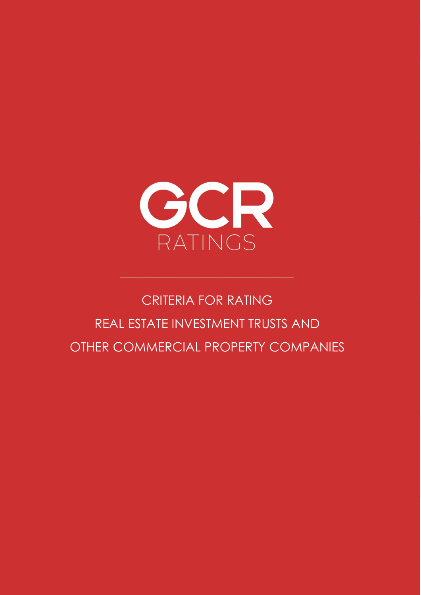

# CRITERIA FOR RATING REAL ESTATE INVESTMENT TRUSTS AND OTHER COMMERCIAL PROPERTY COMPANIES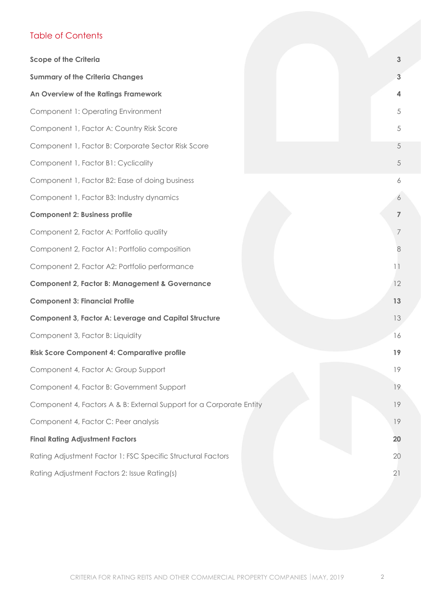## Table of Contents

<span id="page-1-0"></span>

| <b>Scope of the Criteria</b>                                        |  | 3              |
|---------------------------------------------------------------------|--|----------------|
| <b>Summary of the Criteria Changes</b>                              |  | 3              |
| An Overview of the Ratings Framework                                |  | 4              |
| Component 1: Operating Environment                                  |  | 5              |
| Component 1, Factor A: Country Risk Score                           |  | 5              |
| Component 1, Factor B: Corporate Sector Risk Score                  |  | 5              |
| Component 1, Factor B1: Cyclicality                                 |  | 5              |
| Component 1, Factor B2: Ease of doing business                      |  | 6              |
| Component 1, Factor B3: Industry dynamics                           |  | 6              |
| <b>Component 2: Business profile</b>                                |  | $\overline{7}$ |
| Component 2, Factor A: Portfolio quality                            |  | $\overline{7}$ |
| Component 2, Factor A1: Portfolio composition                       |  | 8              |
| Component 2, Factor A2: Portfolio performance                       |  | 11             |
| <b>Component 2, Factor B: Management &amp; Governance</b>           |  | 12             |
| <b>Component 3: Financial Profile</b>                               |  | 13             |
| <b>Component 3, Factor A: Leverage and Capital Structure</b>        |  | 13             |
| Component 3, Factor B: Liquidity                                    |  | 16             |
| <b>Risk Score Component 4: Comparative profile</b>                  |  | 19             |
| Component 4, Factor A: Group Support                                |  | 19             |
| Component 4, Factor B: Government Support                           |  | 19             |
| Component 4, Factors A & B: External Support for a Corporate Entity |  | 19             |
| Component 4, Factor C: Peer analysis                                |  | 19             |
| <b>Final Rating Adjustment Factors</b>                              |  | 20             |
| Rating Adjustment Factor 1: FSC Specific Structural Factors         |  | 20             |
| Rating Adjustment Factors 2: Issue Rating(s)                        |  | 21             |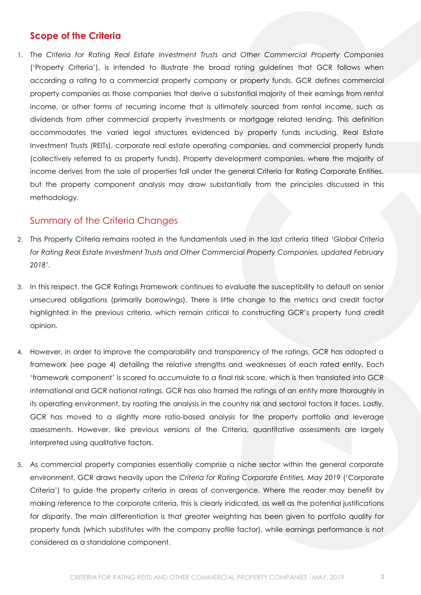### **Scope of the Criteria**

1. The *Criteria for Rating Real Estate Investment Trusts and Other Commercial Property Companies* ('Property Criteria'), is intended to illustrate the broad rating guidelines that GCR follows when according a rating to a commercial property company or property funds. GCR defines commercial property companies as those companies that derive a substantial majority of their earnings from rental income, or other forms of recurring income that is ultimately sourced from rental income, such as dividends from other commercial property investments or mortgage related lending. This definition accommodates the varied legal structures evidenced by property funds including, Real Estate Investment Trusts (REITs), corporate real estate operating companies, and commercial property funds (collectively referred to as property funds). Property development companies, where the majority of income derives from the sale of properties fall under the general Criteria for Rating Corporate Entities, but the property component analysis may draw substantially from the principles discussed in this methodology.

### <span id="page-2-0"></span>Summary of the Criteria Changes

- 2. This Property Criteria remains rooted in the fundamentals used in the last criteria titled *'Global Criteria for Rating Real Estate Investment Trusts and Other Commercial Property Companies, updated February 2018'*.
- 3. In this respect, the GCR Ratings Framework continues to evaluate the susceptibility to default on senior unsecured obligations (primarily borrowings). There is little change to the metrics and credit factor highlighted in the previous criteria, which remain critical to constructing GCR's property fund credit opinion.
- 4. However, in order to improve the comparability and transparency of the ratings, GCR has adopted a framework (see page [4\)](#page-3-1) detailing the relative strengths and weaknesses of each rated entity. Each 'framework component' is scored to accumulate to a final risk score, which is then translated into GCR international and GCR national ratings. GCR has also framed the ratings of an entity more thoroughly in its operating environment, by rooting the analysis in the country risk and sectoral factors it faces. Lastly, GCR has moved to a slightly more ratio-based analysis for the property portfolio and leverage assessments. However, like previous versions of the Criteria, quantitative assessments are largely interpreted using qualitative factors.
- 5. As commercial property companies essentially comprise a niche sector within the general corporate environment, GCR draws heavily upon the *Criteria for Rating Corporate Entities, May 2019* ('Corporate Criteria') to guide the property criteria in areas of convergence. Where the reader may benefit by making reference to the corporate criteria, this is clearly indicated, as well as the potential justifications for disparity. The main differentiation is that greater weighting has been given to portfolio quality for property funds (which substitutes with the company profile factor), while earnings performance is not considered as a standalone component.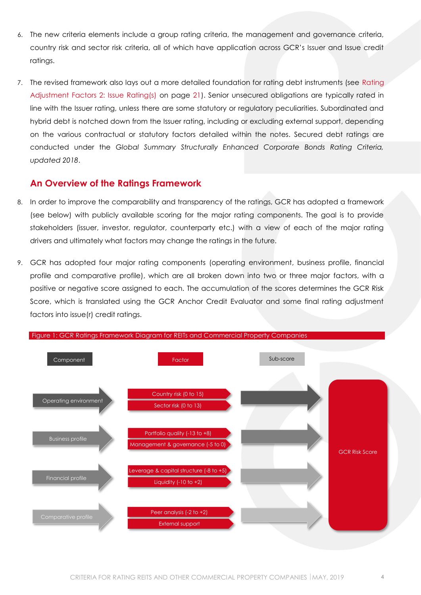- 6. The new criteria elements include a group rating criteria, the management and governance criteria, country risk and sector risk criteria, all of which have application across GCR's Issuer and Issue credit ratings.
- 7. The revised framework also lays out a more detailed foundation for rating debt instruments (see [Rating](#page-20-0)  [Adjustment Factors 2: Issue Rating\(s\)](#page-20-0) on page [21\)](#page-20-0). Senior unsecured obligations are typically rated in line with the Issuer rating, unless there are some statutory or regulatory peculiarities. Subordinated and hybrid debt is notched down from the Issuer rating, including or excluding external support, depending on the various contractual or statutory factors detailed within the notes. Secured debt ratings are conducted under the *Global Summary Structurally Enhanced Corporate Bonds Rating Criteria, updated 2018*.

### <span id="page-3-0"></span>**An Overview of the Ratings Framework**

- 8. In order to improve the comparability and transparency of the ratings, GCR has adopted a framework (see below) with publicly available scoring for the major rating components. The goal is to provide stakeholders (issuer, investor, regulator, counterparty etc.) with a view of each of the major rating drivers and ultimately what factors may change the ratings in the future.
- 9. GCR has adopted four major rating components (operating environment, business profile, financial profile and comparative profile), which are all broken down into two or three major factors, with a positive or negative score assigned to each. The accumulation of the scores determines the GCR Risk Score, which is translated using the GCR Anchor Credit Evaluator and some final rating adjustment factors into issue(r) credit ratings.

<span id="page-3-1"></span>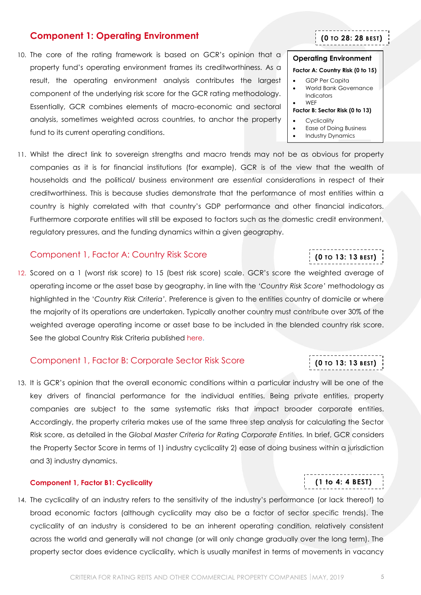### <span id="page-4-0"></span>**Component 1: Operating Environment**

10. The core of the rating framework is based on GCR's opinion that a property fund's operating environment frames its creditworthiness. As a result, the operating environment analysis contributes the largest component of the underlying risk score for the GCR rating methodology. Essentially, GCR combines elements of macro-economic and sectoral analysis, sometimes weighted across countries, to anchor the property fund to its current operating conditions.

11. Whilst the direct link to sovereign strengths and macro trends may not be as obvious for property companies as it is for financial institutions (for example), GCR is of the view that the wealth of households and the political/ business environment are *essential* considerations in respect of their creditworthiness. This is because studies demonstrate that the performance of most entities within a country is highly correlated with that country's GDP performance and other financial indicators. Furthermore corporate entities will still be exposed to factors such as the domestic credit environment, regulatory pressures, and the funding dynamics within a given geography.

### <span id="page-4-1"></span>Component 1, Factor A: Country Risk Score

12. Scored on a 1 (worst risk score) to 15 (best risk score) scale. GCR's score the weighted average of operating income or the asset base by geography, in line with the *'Country Risk Score'* methodology as highlighted in the '*Country Risk Criteria'.* Preference is given to the entities country of domicile or where the majority of its operations are undertaken. Typically another country must contribute over 30% of the weighted average operating income or asset base to be included in the blended country risk score. See the global Country Risk Criteria published [here.](http://gcrratings.com/criteria)

### <span id="page-4-2"></span>Component 1, Factor B: Corporate Sector Risk Score

13. It is GCR's opinion that the overall economic conditions within a particular industry will be one of the key drivers of financial performance for the individual entities. Being private entities, property companies are subject to the same systematic risks that impact broader corporate entities. Accordingly, the property criteria makes use of the same three step analysis for calculating the Sector Risk score, as detailed in the *Global Master Criteria for Rating Corporate Entities.* In brief, GCR considers the Property Sector Score in terms of 1) industry cyclicality 2) ease of doing business within a jurisdiction and 3) industry dynamics.

### <span id="page-4-3"></span>**Component 1, Factor B1: Cyclicality**

14. The cyclicality of an industry refers to the sensitivity of the industry's performance (or lack thereof) to broad economic factors (although cyclicality may also be a factor of sector specific trends). The cyclicality of an industry is considered to be an inherent operating condition, relatively consistent across the world and generally will not change (or will only change gradually over the long term). The property sector does evidence cyclicality, which is usually manifest in terms of movements in vacancy

### **Operating Environment**

**(0 TO 28: 28 BEST)**

#### **Factor A: Country Risk (0 to 15)**

- GDP Per Capita
- World Bank Governance Indicators
- WEF **Factor B: Sector Risk (0 to 13)**
	- **Cyclicality**
	- Ease of Doing Business
- Industry Dynamics

**(0 TO 13: 13 BEST)**

**(0 TO 13: 13 BEST)**

## **(1 to 4: 4 BEST)**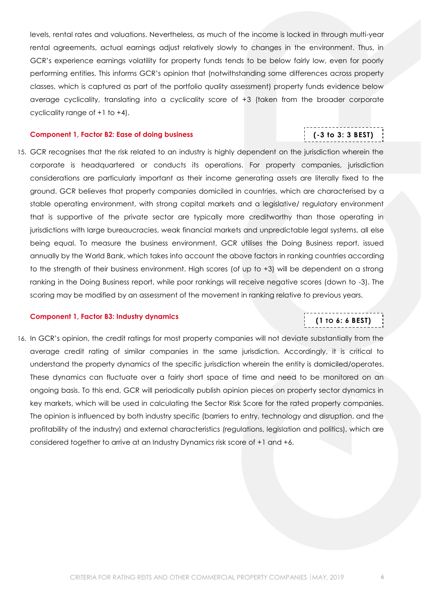levels, rental rates and valuations. Nevertheless, as much of the income is locked in through multi-year rental agreements, actual earnings adjust relatively slowly to changes in the environment. Thus, in GCR's experience earnings volatility for property funds tends to be below fairly low, even for poorly performing entities. This informs GCR's opinion that (notwithstanding some differences across property classes, which is captured as part of the portfolio quality assessment) property funds evidence below average cyclicality, translating into a cyclicality score of +3 (taken from the broader corporate cyclicality range of +1 to +4).

#### <span id="page-5-0"></span>**Component 1, Factor B2: Ease of doing business**

## **(-3 to 3: 3 BEST)**

15. GCR recognises that the risk related to an industry is highly dependent on the jurisdiction wherein the corporate is headquartered or conducts its operations. For property companies, jurisdiction considerations are particularly important as their income generating assets are literally fixed to the ground. GCR believes that property companies domiciled in countries, which are characterised by a stable operating environment, with strong capital markets and a legislative/ regulatory environment that is supportive of the private sector are typically more creditworthy than those operating in jurisdictions with large bureaucracies, weak financial markets and unpredictable legal systems, all else being equal. To measure the business environment, GCR utilises the Doing Business report, issued annually by the World Bank, which takes into account the above factors in ranking countries according to the strength of their business environment. High scores (of up to +3) will be dependent on a strong ranking in the Doing Business report, while poor rankings will receive negative scores (down to -3). The scoring may be modified by an assessment of the movement in ranking relative to previous years.

#### <span id="page-5-1"></span>**Component 1, Factor B3: Industry dynamics**

## **(1 TO 6: 6 BEST)**

16. In GCR's opinion, the credit ratings for most property companies will not deviate substantially from the average credit rating of similar companies in the same jurisdiction. Accordingly, it is critical to understand the property dynamics of the specific jurisdiction wherein the entity is domiciled/operates. These dynamics can fluctuate over a fairly short space of time and need to be monitored on an ongoing basis. To this end, GCR will periodically publish opinion pieces on property sector dynamics in key markets, which will be used in calculating the Sector Risk Score for the rated property companies. The opinion is influenced by both industry specific (barriers to entry, technology and disruption, and the profitability of the industry) and external characteristics (regulations, legislation and politics), which are considered together to arrive at an Industry Dynamics risk score of +1 and +6.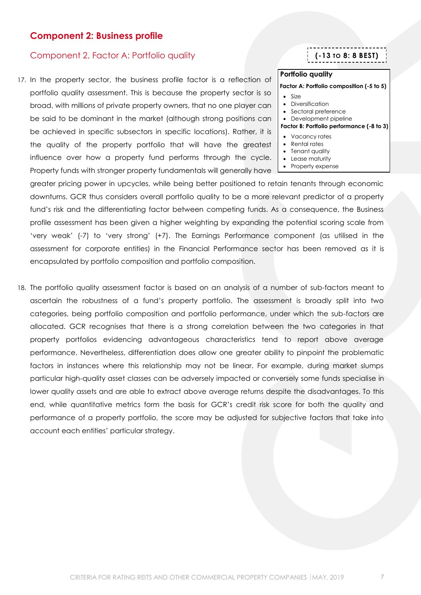### <span id="page-6-0"></span>**Component 2: Business profile**

### <span id="page-6-1"></span>Component 2, Factor A: Portfolio quality

17. In the property sector, the business profile factor is a reflection of portfolio quality assessment. This is because the property sector is so broad, with millions of private property owners, that no one player can be said to be dominant in the market (although strong positions can be achieved in specific subsectors in specific locations). Rather, it is the quality of the property portfolio that will have the greatest influence over how a property fund performs through the cycle. Property funds with stronger property fundamentals will generally have

greater pricing power in upcycles, while being better positioned to retain tenants through economic downturns. GCR thus considers overall portfolio quality to be a more relevant predictor of a property fund's risk and the differentiating factor between competing funds. As a consequence, the Business profile assessment has been given a higher weighting by expanding the potential scoring scale from 'very weak' (-7) to 'very strong' (+7). The Earnings Performance component (as utilised in the assessment for corporate entities) in the Financial Performance sector has been removed as it is encapsulated by portfolio composition and portfolio composition.

18. The portfolio quality assessment factor is based on an analysis of a number of sub-factors meant to ascertain the robustness of a fund's property portfolio. The assessment is broadly split into two categories, being portfolio composition and portfolio performance, under which the sub-factors are allocated. GCR recognises that there is a strong correlation between the two categories in that property portfolios evidencing advantageous characteristics tend to report above average performance. Nevertheless, differentiation does allow one greater ability to pinpoint the problematic factors in instances where this relationship may not be linear. For example, during market slumps particular high-quality asset classes can be adversely impacted or conversely some funds specialise in lower quality assets and are able to extract above average returns despite the disadvantages. To this end, while quantitative metrics form the basis for GCR's credit risk score for both the quality and performance of a property portfolio, the score may be adjusted for subjective factors that take into account each entities' particular strategy.

### **(-13 TO 8: 8 BEST)**

### **Portfolio quality**

#### **Factor A: Portfolio composition (-5 to 5)**

- Size
- Diversification
- Sectoral preference
- Development pipeline

#### **Factor B: Portfolio performance (-8 to 3)**

- Vacancy rates
- Rental rates
- Tenant quality
- Lease maturity
- Property expense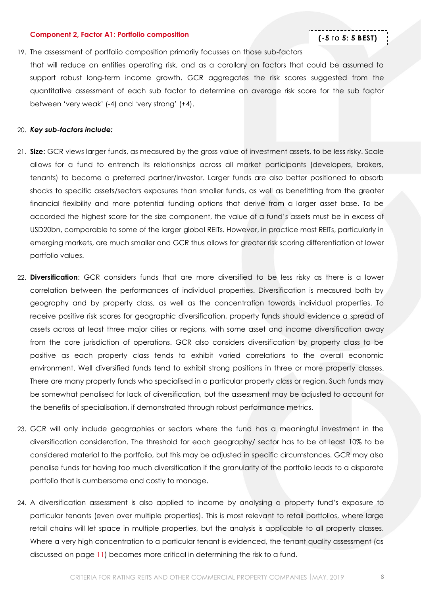#### <span id="page-7-0"></span>**Component 2, Factor A1: Portfolio composition**

### **(-5 TO 5: 5 BEST)**

#### 19. The assessment of portfolio composition primarily focusses on those sub-factors

that will reduce an entities operating risk, and as a corollary on factors that could be assumed to support robust long-term income growth. GCR aggregates the risk scores suggested from the quantitative assessment of each sub factor to determine an average risk score for the sub factor between 'very weak' (-4) and 'very strong' (+4).

#### 20. *Key sub-factors include:*

- 21. **Size**: GCR views larger funds, as measured by the gross value of investment assets, to be less risky. Scale allows for a fund to entrench its relationships across all market participants (developers, brokers, tenants) to become a preferred partner/investor. Larger funds are also better positioned to absorb shocks to specific assets/sectors exposures than smaller funds, as well as benefitting from the greater financial flexibility and more potential funding options that derive from a larger asset base. To be accorded the highest score for the size component, the value of a fund's assets must be in excess of USD20bn, comparable to some of the larger global REITs. However, in practice most REITs, particularly in emerging markets, are much smaller and GCR thus allows for greater risk scoring differentiation at lower portfolio values.
- 22. **Diversification**: GCR considers funds that are more diversified to be less risky as there is a lower correlation between the performances of individual properties. Diversification is measured both by geography and by property class, as well as the concentration towards individual properties. To receive positive risk scores for geographic diversification, property funds should evidence a spread of assets across at least three major cities or regions, with some asset and income diversification away from the core jurisdiction of operations. GCR also considers diversification by property class to be positive as each property class tends to exhibit varied correlations to the overall economic environment. Well diversified funds tend to exhibit strong positions in three or more property classes. There are many property funds who specialised in a particular property class or region. Such funds may be somewhat penalised for lack of diversification, but the assessment may be adjusted to account for the benefits of specialisation, if demonstrated through robust performance metrics.
- 23. GCR will only include geographies or sectors where the fund has a meaningful investment in the diversification consideration. The threshold for each geography/ sector has to be at least 10% to be considered material to the portfolio, but this may be adjusted in specific circumstances. GCR may also penalise funds for having too much diversification if the granularity of the portfolio leads to a disparate portfolio that is cumbersome and costly to manage.
- 24. A diversification assessment is also applied to income by analysing a property fund's exposure to particular tenants (even over multiple properties). This is most relevant to retail portfolios, where large retail chains will let space in multiple properties, but the analysis is applicable to all property classes. Where a very high concentration to a particular tenant is evidenced, the tenant quality assessment (as discussed on page [11\)](#page-10-1) becomes more critical in determining the risk to a fund.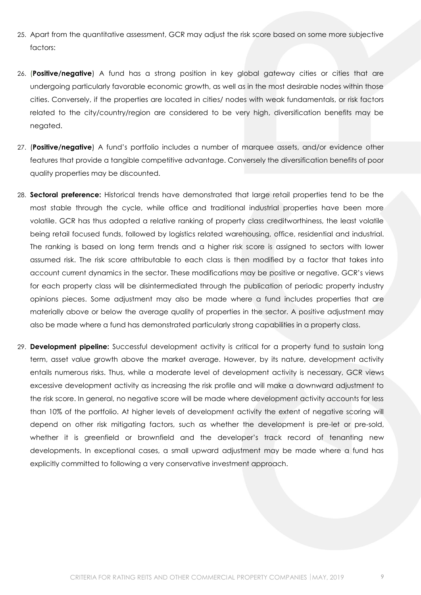- 25. Apart from the quantitative assessment, GCR may adjust the risk score based on some more subjective factors:
- 26. (**Positive/negative**) A fund has a strong position in key global gateway cities or cities that are undergoing particularly favorable economic growth, as well as in the most desirable nodes within those cities. Conversely, if the properties are located in cities/ nodes with weak fundamentals, or risk factors related to the city/country/region are considered to be very high, diversification benefits may be negated.
- 27. (**Positive/negative**) A fund's portfolio includes a number of marquee assets, and/or evidence other features that provide a tangible competitive advantage. Conversely the diversification benefits of poor quality properties may be discounted.
- 28. **Sectoral preference:** Historical trends have demonstrated that large retail properties tend to be the most stable through the cycle, while office and traditional industrial properties have been more volatile. GCR has thus adopted a relative ranking of property class creditworthiness, the least volatile being retail focused funds, followed by logistics related warehousing, office, residential and industrial. The ranking is based on long term trends and a higher risk score is assigned to sectors with lower assumed risk. The risk score attributable to each class is then modified by a factor that takes into account current dynamics in the sector. These modifications may be positive or negative. GCR's views for each property class will be disintermediated through the publication of periodic property industry opinions pieces. Some adjustment may also be made where a fund includes properties that are materially above or below the average quality of properties in the sector. A positive adjustment may also be made where a fund has demonstrated particularly strong capabilities in a property class.
- 29. **Development pipeline:** Successful development activity is critical for a property fund to sustain long term, asset value growth above the market average. However, by its nature, development activity entails numerous risks. Thus, while a moderate level of development activity is necessary, GCR views excessive development activity as increasing the risk profile and will make a downward adjustment to the risk score. In general, no negative score will be made where development activity accounts for less than 10% of the portfolio. At higher levels of development activity the extent of negative scoring will depend on other risk mitigating factors, such as whether the development is pre-let or pre-sold, whether it is greenfield or brownfield and the developer's track record of tenanting new developments. In exceptional cases, a small upward adjustment may be made where a fund has explicitly committed to following a very conservative investment approach.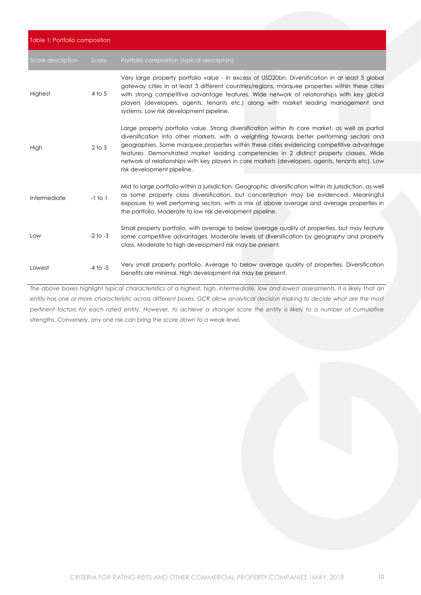| Table 1: Portfolio composition |              |                                                                                                                                                                                                                                                                                                                                                                                                                                                                                                                           |  |
|--------------------------------|--------------|---------------------------------------------------------------------------------------------------------------------------------------------------------------------------------------------------------------------------------------------------------------------------------------------------------------------------------------------------------------------------------------------------------------------------------------------------------------------------------------------------------------------------|--|
| Score description              | Score        | Portfolio composition (typical descriptors)                                                                                                                                                                                                                                                                                                                                                                                                                                                                               |  |
| Highest                        | $4$ to 5     | Very large property portfolio value - in excess of USD20bn. Diversification in at least 3 global<br>gateway cities in at least 3 different countries/regions, marquee properties within these cities<br>with strong competitive advantage features. Wide network of relationships with key global<br>players (developers, agents, tenants etc.) along with market leading management and<br>systems. Low risk development pipeline.                                                                                       |  |
| High                           | $2$ to $3$   | Large property portfolio value. Strong diversification within its core market, as well as partial<br>diversification into other markets, with a weighting towards better performing sectors and<br>geographies. Some marquee properties within these cities evidencing competitive advantage<br>features. Demonstrated market leading competencies in 2 distinct property classes. Wide<br>network of relationships with key players in core markets (developers, agents, tenants etc). Low<br>risk development pipeline. |  |
| Intermediate                   | $-1$ to $1$  | Mid to large portfolio within a jurisdiction. Geographic diversification within its jurisdiction, as well<br>as some property class diversification, but concentration may be evidenced. Meaningful<br>exposure to well performing sectors, with a mix of above average and average properties in<br>the portfolio. Moderate to low risk development pipeline.                                                                                                                                                            |  |
| Low                            | $-2$ to $-3$ | Small property portfolio, with average to below average quality of properties, but may feature<br>some competitive advantages. Moderate levels of diversification by geography and property<br>class. Moderate to high development risk may be present.                                                                                                                                                                                                                                                                   |  |
| Lowest                         | $-4$ to $-5$ | Very small property portfolio. Average to below average quality of properties. Diversification<br>benefits are minimal. High development risk may be present.                                                                                                                                                                                                                                                                                                                                                             |  |

*The above boxes highlight typical characteristics of a highest, high, intermediate, low and lowest assessments. It is likely that an entity has one or more characteristic across different boxes. GCR allow analytical decision making to decide what are the most pertinent factors for each rated entity. However, to achieve a stronger score the entity is likely to a number of cumulative strengths. Conversely, any one risk can bring the score down to a weak level.*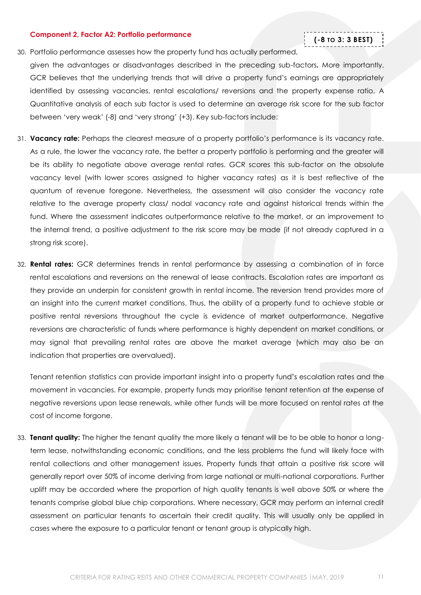#### <span id="page-10-0"></span>**Component 2, Factor A2: Portfolio performance**

### **(-8 TO 3: 3 BEST)**

- 30. Portfolio performance assesses how the property fund has actually performed, given the advantages or disadvantages described in the preceding sub-factors**.** More importantly, GCR believes that the underlying trends that will drive a property fund's earnings are appropriately identified by assessing vacancies, rental escalations/ reversions and the property expense ratio. A Quantitative analysis of each sub factor is used to determine an average risk score for the sub factor between 'very weak' (-8) and 'very strong' (+3). Key sub-factors include:
- 31. **Vacancy rate:** Perhaps the clearest measure of a property portfolio's performance is its vacancy rate. As a rule, the lower the vacancy rate, the better a property portfolio is performing and the greater will be its ability to negotiate above average rental rates. GCR scores this sub-factor on the absolute vacancy level (with lower scores assigned to higher vacancy rates) as it is best reflective of the quantum of revenue foregone. Nevertheless, the assessment will also consider the vacancy rate relative to the average property class/ nodal vacancy rate and against historical trends within the fund. Where the assessment indicates outperformance relative to the market, or an improvement to the internal trend, a positive adjustment to the risk score may be made (if not already captured in a strong risk score).
- 32. **Rental rates:** GCR determines trends in rental performance by assessing a combination of in force rental escalations and reversions on the renewal of lease contracts. Escalation rates are important as they provide an underpin for consistent growth in rental income. The reversion trend provides more of an insight into the current market conditions. Thus, the ability of a property fund to achieve stable or positive rental reversions throughout the cycle is evidence of market outperformance. Negative reversions are characteristic of funds where performance is highly dependent on market conditions, or may signal that prevailing rental rates are above the market average (which may also be an indication that properties are overvalued).

Tenant retention statistics can provide important insight into a property fund's escalation rates and the movement in vacancies. For example, property funds may prioritise tenant retention at the expense of negative reversions upon lease renewals, while other funds will be more focused on rental rates at the cost of income forgone.

<span id="page-10-1"></span>33. **Tenant quality:** The higher the tenant quality the more likely a tenant will be to be able to honor a longterm lease, notwithstanding economic conditions, and the less problems the fund will likely face with rental collections and other management issues. Property funds that attain a positive risk score will generally report over 50% of income deriving from large national or multi-national corporations. Further uplift may be accorded where the proportion of high quality tenants is well above 50% or where the tenants comprise global blue chip corporations. Where necessary, GCR may perform an internal credit assessment on particular tenants to ascertain their credit quality. This will usually only be applied in cases where the exposure to a particular tenant or tenant group is atypically high.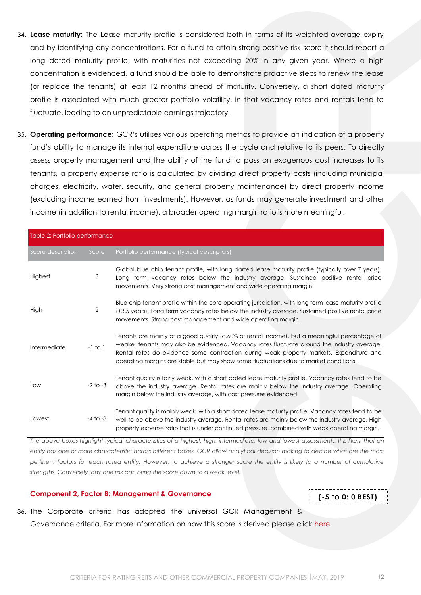- 34. **Lease maturity:** The Lease maturity profile is considered both in terms of its weighted average expiry and by identifying any concentrations. For a fund to attain strong positive risk score it should report a long dated maturity profile, with maturities not exceeding 20% in any given year. Where a high concentration is evidenced, a fund should be able to demonstrate proactive steps to renew the lease (or replace the tenants) at least 12 months ahead of maturity. Conversely, a short dated maturity profile is associated with much greater portfolio volatility, in that vacancy rates and rentals tend to fluctuate, leading to an unpredictable earnings trajectory.
- 35. **Operating performance:** GCR's utilises various operating metrics to provide an indication of a property fund's ability to manage its internal expenditure across the cycle and relative to its peers. To directly assess property management and the ability of the fund to pass on exogenous cost increases to its tenants, a property expense ratio is calculated by dividing direct property costs (including municipal charges, electricity, water, security, and general property maintenance) by direct property income (excluding income earned from investments). However, as funds may generate investment and other income (in addition to rental income), a broader operating margin ratio is more meaningful.

| Table 2: Portfolio performance |              |                                                                                                                                                                                                                                                                                                                                                                                 |
|--------------------------------|--------------|---------------------------------------------------------------------------------------------------------------------------------------------------------------------------------------------------------------------------------------------------------------------------------------------------------------------------------------------------------------------------------|
| Score description              | Score        | Portfolio performance (typical descriptors)                                                                                                                                                                                                                                                                                                                                     |
| Highest                        | 3            | Global blue chip tenant profile, with long darted lease maturity profile (typically over 7 years).<br>Long term vacancy rates below the industry average. Sustained positive rental price<br>movements. Very strong cost management and wide operating margin.                                                                                                                  |
| High                           | 2            | Blue chip tenant profile within the core operating jurisdiction, with long term lease maturity profile<br>(+3.5 years). Long term vacancy rates below the industry average. Sustained positive rental price<br>movements. Strong cost management and wide operating margin.                                                                                                     |
| Intermediate                   | $-1$ to $1$  | Tenants are mainly of a good quality (c.60% of rental income), but a meaningful percentage of<br>weaker tenants may also be evidenced. Vacancy rates fluctuate around the industry average.<br>Rental rates do evidence some contraction during weak property markets. Expenditure and<br>operating margins are stable but may show some fluctuations due to market conditions. |
| Low                            | $-2$ to $-3$ | Tenant quality is fairly weak, with a short dated lease maturity profile. Vacancy rates tend to be<br>above the industry average. Rental rates are mainly below the industry average. Operating<br>margin below the industry average, with cost pressures evidenced.                                                                                                            |
| Lowest                         | $-4$ to $-8$ | Tenant quality is mainly weak, with a short dated lease maturity profile. Vacancy rates tend to be<br>well to be above the industry average. Rental rates are mainly below the industry average. High<br>property expense ratio that is under continued pressure, combined with weak operating margin.                                                                          |

*The above boxes highlight typical characteristics of a highest, high, intermediate, low and lowest assessments. It is likely that an entity has one or more characteristic across different boxes. GCR allow analytical decision making to decide what are the most pertinent factors for each rated entity. However, to achieve a stronger score the entity is likely to a number of cumulative strengths. Conversely, any one risk can bring the score down to a weak level.* 

#### <span id="page-11-0"></span>**Component 2, Factor B: Management & Governance**

**(-5 TO 0: 0 BEST)**

36. The Corporate criteria has adopted the universal GCR Management & Governance criteria. For more information on how this score is derived please click [here.](http://gcrratings.com/criteria)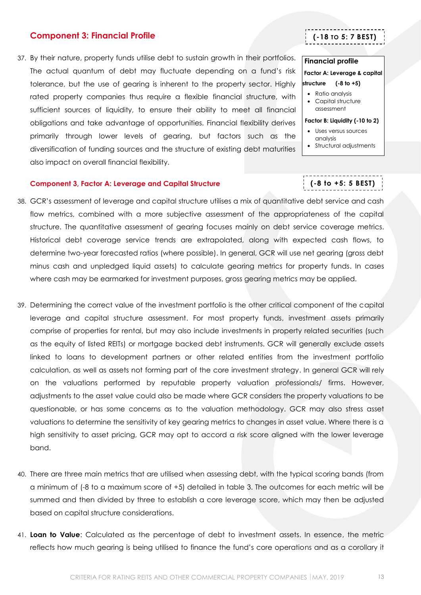### <span id="page-12-0"></span>**Component 3: Financial Profile**

37. By their nature, property funds utilise debt to sustain growth in their portfolios. The actual quantum of debt may fluctuate depending on a fund's risk tolerance, but the use of gearing is inherent to the property sector. Highly rated property companies thus require a flexible financial structure, with sufficient sources of liquidity, to ensure their ability to meet all financial obligations and take advantage of opportunities. Financial flexibility derives primarily through lower levels of gearing, but factors such as the diversification of funding sources and the structure of existing debt maturities also impact on overall financial flexibility.

## **(-18 TO 5: 7 BEST)**

#### **Financial profile**

**Factor A: Leverage & capital structure** (-8 to +5)

- Ratio analysis
- Capital structure assessment

#### **Factor B: Liquidity (-10 to 2)**

- Uses versus sources analysis
- Structural adjustments

**(-8 to +5: 5 BEST)**

#### <span id="page-12-1"></span>**Component 3, Factor A: Leverage and Capital Structure**

- 38. GCR's assessment of leverage and capital structure utilises a mix of quantitative debt service and cash flow metrics, combined with a more subjective assessment of the appropriateness of the capital structure. The quantitative assessment of gearing focuses mainly on debt service coverage metrics. Historical debt coverage service trends are extrapolated, along with expected cash flows, to determine two-year forecasted ratios (where possible). In general, GCR will use net gearing (gross debt minus cash and unpledged liquid assets) to calculate gearing metrics for property funds. In cases where cash may be earmarked for investment purposes, gross gearing metrics may be applied.
- 39. Determining the correct value of the investment portfolio is the other critical component of the capital leverage and capital structure assessment. For most property funds, investment assets primarily comprise of properties for rental, but may also include investments in property related securities (such as the equity of listed REITs) or mortgage backed debt instruments. GCR will generally exclude assets linked to loans to development partners or other related entities from the investment portfolio calculation, as well as assets not forming part of the core investment strategy. In general GCR will rely on the valuations performed by reputable property valuation professionals/ firms. However, adjustments to the asset value could also be made where GCR considers the property valuations to be questionable, or has some concerns as to the valuation methodology. GCR may also stress asset valuations to determine the sensitivity of key gearing metrics to changes in asset value. Where there is a high sensitivity to asset pricing, GCR may opt to accord a risk score aligned with the lower leverage band.
- 40. There are three main metrics that are utilised when assessing debt, with the typical scoring bands (from a minimum of (-8 to a maximum score of +5) detailed in table 3. The outcomes for each metric will be summed and then divided by three to establish a core leverage score, which may then be adjusted based on capital structure considerations.
- 41. **Loan to Value**: Calculated as the percentage of debt to investment assets. In essence, the metric reflects how much gearing is being utilised to finance the fund's core operations and as a corollary it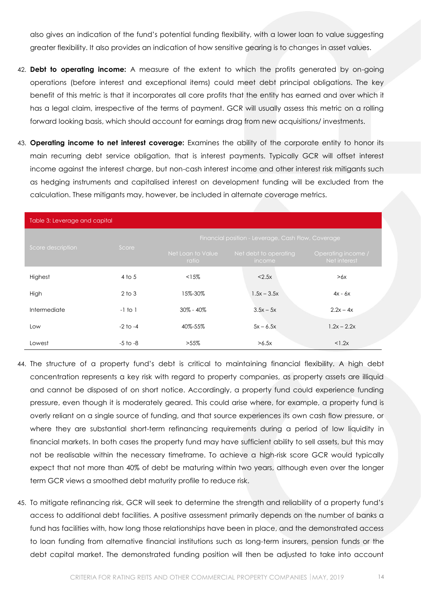also gives an indication of the fund's potential funding flexibility, with a lower loan to value suggesting greater flexibility. It also provides an indication of how sensitive gearing is to changes in asset values.

- 42. **Debt to operating income:** A measure of the extent to which the profits generated by on-going operations (before interest and exceptional items) could meet debt principal obligations. The key benefit of this metric is that it incorporates all core profits that the entity has earned and over which it has a legal claim, irrespective of the terms of payment. GCR will usually assess this metric on a rolling forward looking basis, which should account for earnings drag from new acquisitions/ investments.
- 43. **Operating income to net interest coverage:** Examines the ability of the corporate entity to honor its main recurring debt service obligation, that is interest payments. Typically GCR will offset interest income against the interest charge, but non-cash interest income and other interest risk mitigants such as hedging instruments and capitalised interest on development funding will be excluded from the calculation. These mitigants may, however, be included in alternate coverage metrics.

| Table 3: Leverage and capital |              |                            |                                                    |                                    |  |
|-------------------------------|--------------|----------------------------|----------------------------------------------------|------------------------------------|--|
|                               |              |                            | Financial position - Leverage, Cash Flow, Coverage |                                    |  |
| Score description             | Score        | Net Loan to Value<br>ratio | Net debt to operating<br><i>income</i>             | Operating income /<br>Net interest |  |
| Highest                       | 4 to 5       | <15%                       | < 2.5x                                             | >6x                                |  |
| High                          | $2$ to $3$   | 15%-30%                    | $1.5x - 3.5x$                                      | $4x - 6x$                          |  |
| Intermediate                  | $-1$ to $1$  | $30\% - 40\%$              | $3.5x - 5x$                                        | $2.2x - 4x$                        |  |
| Low                           | $-2$ to $-4$ | 40%-55%                    | $5x - 6.5x$                                        | $1.2x - 2.2x$                      |  |
| Lowest                        | $-5$ to $-8$ | $>55\%$                    | $>6.5x$                                            | <1.2x                              |  |

- 44. The structure of a property fund's debt is critical to maintaining financial flexibility. A high debt concentration represents a key risk with regard to property companies, as property assets are illiquid and cannot be disposed of on short notice. Accordingly, a property fund could experience funding pressure, even though it is moderately geared. This could arise where, for example, a property fund is overly reliant on a single source of funding, and that source experiences its own cash flow pressure, or where they are substantial short-term refinancing requirements during a period of low liquidity in financial markets. In both cases the property fund may have sufficient ability to sell assets, but this may not be realisable within the necessary timeframe. To achieve a high-risk score GCR would typically expect that not more than 40% of debt be maturing within two years, although even over the longer term GCR views a smoothed debt maturity profile to reduce risk.
- 45. To mitigate refinancing risk, GCR will seek to determine the strength and reliability of a property fund's access to additional debt facilities. A positive assessment primarily depends on the number of banks a fund has facilities with, how long those relationships have been in place, and the demonstrated access to loan funding from alternative financial institutions such as long-term insurers, pension funds or the debt capital market. The demonstrated funding position will then be adjusted to take into account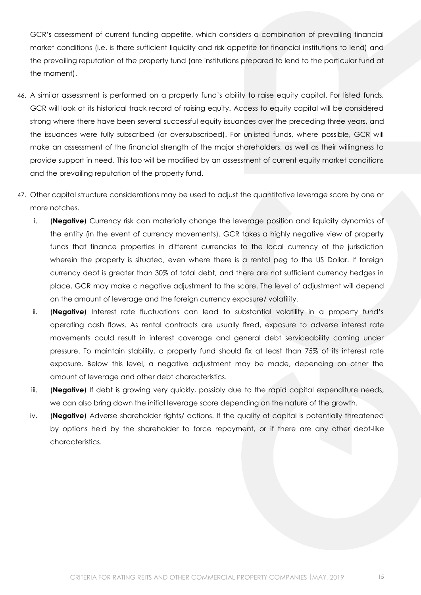GCR's assessment of current funding appetite, which considers a combination of prevailing financial market conditions (i.e. is there sufficient liquidity and risk appetite for financial institutions to lend) and the prevailing reputation of the property fund (are institutions prepared to lend to the particular fund at the moment).

- 46. A similar assessment is performed on a property fund's ability to raise equity capital. For listed funds, GCR will look at its historical track record of raising equity. Access to equity capital will be considered strong where there have been several successful equity issuances over the preceding three years, and the issuances were fully subscribed (or oversubscribed). For unlisted funds, where possible, GCR will make an assessment of the financial strength of the major shareholders, as well as their willingness to provide support in need. This too will be modified by an assessment of current equity market conditions and the prevailing reputation of the property fund.
- 47. Other capital structure considerations may be used to adjust the quantitative leverage score by one or more notches.
	- i. (**Negative**) Currency risk can materially change the leverage position and liquidity dynamics of the entity (in the event of currency movements). GCR takes a highly negative view of property funds that finance properties in different currencies to the local currency of the jurisdiction wherein the property is situated, even where there is a rental peg to the US Dollar. If foreign currency debt is greater than 30% of total debt, and there are not sufficient currency hedges in place, GCR may make a negative adjustment to the score. The level of adjustment will depend on the amount of leverage and the foreign currency exposure/ volatility.
	- ii. (**Negative**) Interest rate fluctuations can lead to substantial volatility in a property fund's operating cash flows. As rental contracts are usually fixed, exposure to adverse interest rate movements could result in interest coverage and general debt serviceability coming under pressure. To maintain stability, a property fund should fix at least than 75% of its interest rate exposure. Below this level, a negative adjustment may be made, depending on other the amount of leverage and other debt characteristics.
	- iii. (**Negative**) If debt is growing very quickly, possibly due to the rapid capital expenditure needs, we can also bring down the initial leverage score depending on the nature of the growth.
	- iv. (**Negative**) Adverse shareholder rights/ actions. If the quality of capital is potentially threatened by options held by the shareholder to force repayment, or if there are any other debt-like characteristics.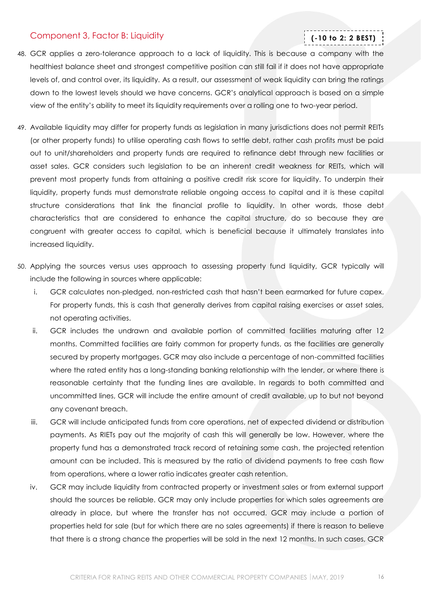### <span id="page-15-0"></span>Component 3, Factor B: Liquidity

### **(-10 to 2: 2 BEST)**

- 48. GCR applies a zero-tolerance approach to a lack of liquidity. This is because a company with the healthiest balance sheet and strongest competitive position can still fail if it does not have appropriate levels of, and control over, its liquidity. As a result, our assessment of weak liquidity can bring the ratings down to the lowest levels should we have concerns. GCR's analytical approach is based on a simple view of the entity's ability to meet its liquidity requirements over a rolling one to two-year period.
- 49. Available liquidity may differ for property funds as legislation in many jurisdictions does not permit REITs (or other property funds) to utilise operating cash flows to settle debt, rather cash profits must be paid out to unit/shareholders and property funds are required to refinance debt through new facilities or asset sales. GCR considers such legislation to be an inherent credit weakness for REITs, which will prevent most property funds from attaining a positive credit risk score for liquidity. To underpin their liquidity, property funds must demonstrate reliable ongoing access to capital and it is these capital structure considerations that link the financial profile to liquidity. In other words, those debt characteristics that are considered to enhance the capital structure, do so because they are congruent with greater access to capital, which is beneficial because it ultimately translates into increased liquidity.
- 50. Applying the sources versus uses approach to assessing property fund liquidity, GCR typically will include the following in sources where applicable:
	- i. GCR calculates non-pledged, non-restricted cash that hasn't been earmarked for future capex. For property funds, this is cash that generally derives from capital raising exercises or asset sales, not operating activities.
	- ii. GCR includes the undrawn and available portion of committed facilities maturing after 12 months. Committed facilities are fairly common for property funds, as the facilities are generally secured by property mortgages. GCR may also include a percentage of non-committed facilities where the rated entity has a long-standing banking relationship with the lender, or where there is reasonable certainty that the funding lines are available. In regards to both committed and uncommitted lines, GCR will include the entire amount of credit available, up to but not beyond any covenant breach.
	- iii. GCR will include anticipated funds from core operations, net of expected dividend or distribution payments. As RIETs pay out the majority of cash this will generally be low. However, where the property fund has a demonstrated track record of retaining some cash, the projected retention amount can be included. This is measured by the ratio of dividend payments to free cash flow from operations, where a lower ratio indicates greater cash retention.
	- iv. GCR may include liquidity from contracted property or investment sales or from external support should the sources be reliable. GCR may only include properties for which sales agreements are already in place, but where the transfer has not occurred. GCR may include a portion of properties held for sale (but for which there are no sales agreements) if there is reason to believe that there is a strong chance the properties will be sold in the next 12 months. In such cases, GCR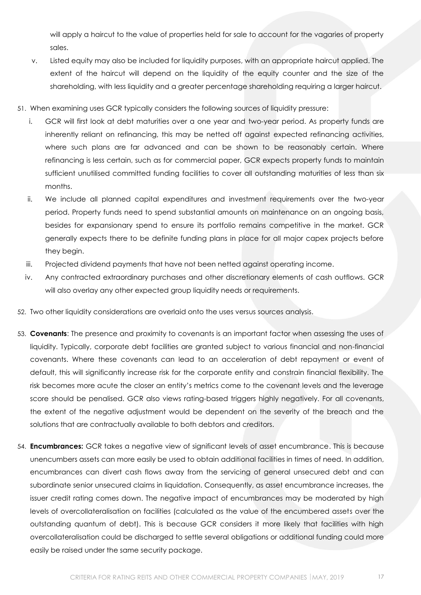will apply a haircut to the value of properties held for sale to account for the vagaries of property sales.

- v. Listed equity may also be included for liquidity purposes, with an appropriate haircut applied. The extent of the haircut will depend on the liquidity of the equity counter and the size of the shareholding, with less liquidity and a greater percentage shareholding requiring a larger haircut.
- 51. When examining uses GCR typically considers the following sources of liquidity pressure:
	- i. GCR will first look at debt maturities over a one year and two-year period. As property funds are inherently reliant on refinancing, this may be netted off against expected refinancing activities, where such plans are far advanced and can be shown to be reasonably certain. Where refinancing is less certain, such as for commercial paper, GCR expects property funds to maintain sufficient unutilised committed funding facilities to cover all outstanding maturities of less than six months.
	- ii. We include all planned capital expenditures and investment requirements over the two-year period. Property funds need to spend substantial amounts on maintenance on an ongoing basis, besides for expansionary spend to ensure its portfolio remains competitive in the market. GCR generally expects there to be definite funding plans in place for all major capex projects before they begin.
	- iii. Projected dividend payments that have not been netted against operating income.
	- iv. Any contracted extraordinary purchases and other discretionary elements of cash outflows. GCR will also overlay any other expected group liquidity needs or requirements.
- 52. Two other liquidity considerations are overlaid onto the uses versus sources analysis.
- 53. **Covenants**: The presence and proximity to covenants is an important factor when assessing the uses of liquidity. Typically, corporate debt facilities are granted subject to various financial and non-financial covenants. Where these covenants can lead to an acceleration of debt repayment or event of default, this will significantly increase risk for the corporate entity and constrain financial flexibility. The risk becomes more acute the closer an entity's metrics come to the covenant levels and the leverage score should be penalised. GCR also views rating-based triggers highly negatively. For all covenants, the extent of the negative adjustment would be dependent on the severity of the breach and the solutions that are contractually available to both debtors and creditors.
- 54. **Encumbrances:** GCR takes a negative view of significant levels of asset encumbrance. This is because unencumbers assets can more easily be used to obtain additional facilities in times of need. In addition, encumbrances can divert cash flows away from the servicing of general unsecured debt and can subordinate senior unsecured claims in liquidation. Consequently, as asset encumbrance increases, the issuer credit rating comes down. The negative impact of encumbrances may be moderated by high levels of overcollateralisation on facilities (calculated as the value of the encumbered assets over the outstanding quantum of debt). This is because GCR considers it more likely that facilities with high overcollateralisation could be discharged to settle several obligations or additional funding could more easily be raised under the same security package.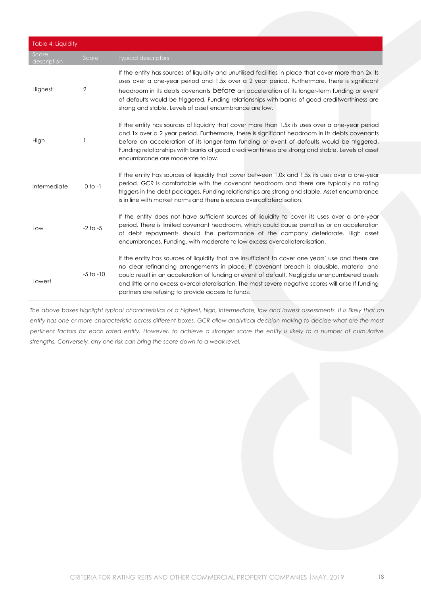| Table 4: Liquidity   |                |                                                                                                                                                                                                                                                                                                                                                                                                                                                                 |
|----------------------|----------------|-----------------------------------------------------------------------------------------------------------------------------------------------------------------------------------------------------------------------------------------------------------------------------------------------------------------------------------------------------------------------------------------------------------------------------------------------------------------|
| Score<br>description | Score          | <b>Typical descriptors</b>                                                                                                                                                                                                                                                                                                                                                                                                                                      |
| Highest              | $\overline{2}$ | If the entity has sources of liquidity and unutilised facilities in place that cover more than 2x its<br>uses over a one-year period and 1.5x over a 2 year period. Furthermore, there is significant<br>headroom in its debts covenants before an acceleration of its longer-term funding or event<br>of defaults would be triggered. Funding relationships with banks of good creditworthiness are<br>strong and stable. Levels of asset encumbrance are low. |
| High                 |                | If the entity has sources of liquidity that cover more than 1.5x its uses over a one-year period<br>and 1x over a 2 year period. Furthermore, there is significant headroom in its debts covenants<br>before an acceleration of its longer-term funding or event of defaults would be triggered.<br>Funding relationships with banks of good creditworthiness are strong and stable. Levels of asset<br>encumbrance are moderate to low.                        |
| Intermediate         | $0$ to $-1$    | If the entity has sources of liquidity that cover between 1.0x and 1.5x its uses over a one-year<br>period. GCR is comfortable with the covenant headroom and there are typically no rating<br>triggers in the debt packages. Funding relationships are strong and stable. Asset encumbrance<br>is in line with market norms and there is excess overcollateralisation.                                                                                         |
| Low                  | $-2$ to $-5$   | If the entity does not have sufficient sources of liquidity to cover its uses over a one-year<br>period. There is limited covenant headroom, which could cause penalties or an acceleration<br>of debt repayments should the performance of the company deteriorate. High asset<br>encumbrances. Funding, with moderate to low excess overcollateralisation.                                                                                                    |
| Lowest               | $-5$ to $-10$  | If the entity has sources of liquidity that are insufficient to cover one years' use and there are<br>no clear refinancing arrangements in place. If covenant breach is plausible, material and<br>could result in an acceleration of funding or event of default. Negligible unencumbered assets<br>and little or no excess overcollateralisation. The most severe negative scores will arise If funding<br>partners are refusing to provide access to funds.  |

*The above boxes highlight typical characteristics of a highest, high, intermediate, low and lowest assessments. It is likely that an entity has one or more characteristic across different boxes. GCR allow analytical decision making to decide what are the most pertinent factors for each rated entity. However, to achieve a stronger score the entity is likely to a number of cumulative strengths. Conversely, any one risk can bring the score down to a weak level.*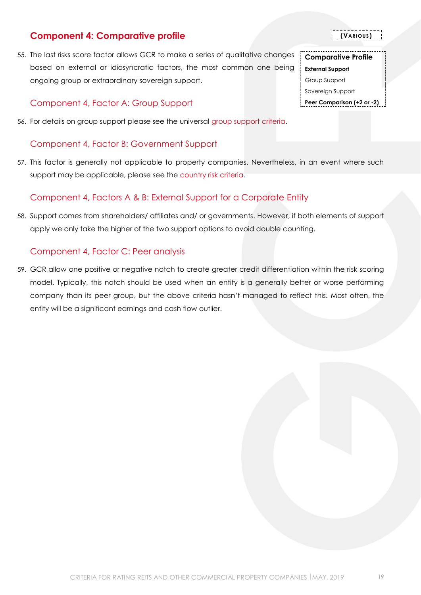## <span id="page-18-0"></span>**Component 4: Comparative profile**

55. The last risks score factor allows GCR to make a series of qualitative changes based on external or idiosyncratic factors, the most common one being ongoing group or extraordinary sovereign support.

### <span id="page-18-1"></span>Component 4, Factor A: Group Support

56. For details on group support please see the universal [group support criteria.](http://gcrratings.com/criteria)

### <span id="page-18-2"></span>Component 4, Factor B: Government Support

57. This factor is generally not applicable to property companies. Nevertheless, in an event where such support may be applicable, please see the [country risk criteria.](http://gcrratings.com/criteria)

### <span id="page-18-3"></span>Component 4, Factors A & B: External Support for a Corporate Entity

58. Support comes from shareholders/ affiliates and/ or governments. However, if both elements of support apply we only take the higher of the two support options to avoid double counting.

### <span id="page-18-4"></span>Component 4, Factor C: Peer analysis

59. GCR allow one positive or negative notch to create greater credit differentiation within the risk scoring model. Typically, this notch should be used when an entity is a generally better or worse performing company than its peer group, but the above criteria hasn't managed to reflect this. Most often, the entity will be a significant earnings and cash flow outlier.

**(VARIOUS)**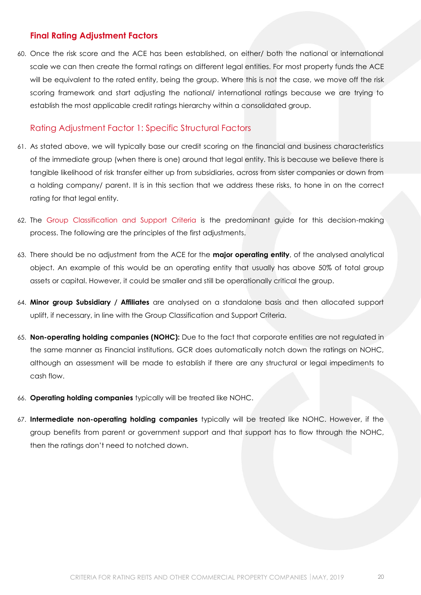### <span id="page-19-0"></span>**Final Rating Adjustment Factors**

60. Once the risk score and the ACE has been established, on either/ both the national or international scale we can then create the formal ratings on different legal entities. For most property funds the ACE will be equivalent to the rated entity, being the group. Where this is not the case, we move off the risk scoring framework and start adjusting the national/ international ratings because we are trying to establish the most applicable credit ratings hierarchy within a consolidated group.

### <span id="page-19-1"></span>Rating Adjustment Factor 1: Specific Structural Factors

- 61. As stated above, we will typically base our credit scoring on the financial and business characteristics of the immediate group (when there is one) around that legal entity. This is because we believe there is tangible likelihood of risk transfer either up from subsidiaries, across from sister companies or down from a holding company/ parent. It is in this section that we address these risks, to hone in on the correct rating for that legal entity.
- 62. The [Group Classification and Support Criteria](https://globalratings.net/news/article/gcr-requests-public-comment-on-draft-ratings-framework-criteria-and-draft-r) is the predominant guide for this decision-making process. The following are the principles of the first adjustments.
- 63. There should be no adjustment from the ACE for the **major operating entity**, of the analysed analytical object. An example of this would be an operating entity that usually has above 50% of total group assets or capital. However, it could be smaller and still be operationally critical the group.
- 64. **Minor group Subsidiary / Affiliates** are analysed on a standalone basis and then allocated support uplift, if necessary, in line with the Group Classification and Support Criteria.
- 65. **Non-operating holding companies (NOHC):** Due to the fact that corporate entities are not regulated in the same manner as Financial institutions, GCR does automatically notch down the ratings on NOHC, although an assessment will be made to establish if there are any structural or legal impediments to cash flow.
- 66. **Operating holding companies** typically will be treated like NOHC.
- 67. **Intermediate non-operating holding companies** typically will be treated like NOHC. However, if the group benefits from parent or government support and that support has to flow through the NOHC, then the ratings don't need to notched down.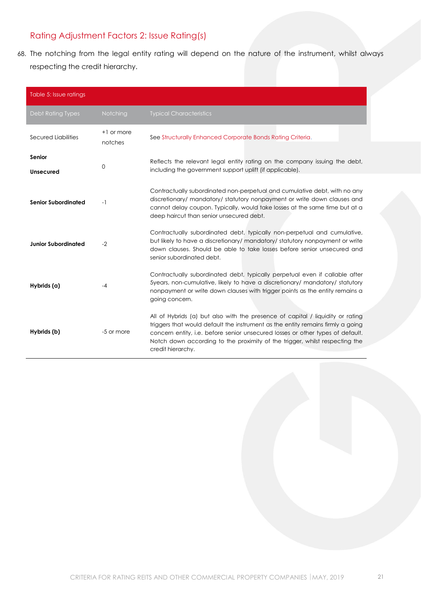### <span id="page-20-0"></span>Rating Adjustment Factors 2: Issue Rating(s)

68. The notching from the legal entity rating will depend on the nature of the instrument, whilst always respecting the credit hierarchy.

| Table 5: Issue ratings     |                       |                                                                                                                                                                                                                                                                                                                                                         |
|----------------------------|-----------------------|---------------------------------------------------------------------------------------------------------------------------------------------------------------------------------------------------------------------------------------------------------------------------------------------------------------------------------------------------------|
| Debt Rating Types          | <b>Notching</b>       | <b>Typical Characteristics</b>                                                                                                                                                                                                                                                                                                                          |
| Secured Liabilities        | +1 or more<br>notches | See Structurally Enhanced Corporate Bonds Rating Criteria.                                                                                                                                                                                                                                                                                              |
| Senior<br><b>Unsecured</b> | 0                     | Reflects the relevant legal entity rating on the company issuing the debt,<br>including the government support uplift (if applicable).                                                                                                                                                                                                                  |
| <b>Senior Subordinated</b> | $-1$                  | Contractually subordinated non-perpetual and cumulative debt, with no any<br>discretionary/ mandatory/ statutory nonpayment or write down clauses and<br>cannot delay coupon. Typically, would take losses at the same time but at a<br>deep haircut than senior unsecured debt.                                                                        |
| <b>Junior Subordinated</b> | $-2$                  | Contractually subordinated debt, typically non-perpetual and cumulative,<br>but likely to have a discretionary/ mandatory/ statutory nonpayment or write<br>down clauses. Should be able to take losses before senior unsecured and<br>senior subordinated debt.                                                                                        |
| Hybrids (a)                | -4                    | Contractually subordinated debt, typically perpetual even if callable after<br>5years, non-cumulative, likely to have a discretionary/ mandatory/ statutory<br>nonpayment or write down clauses with trigger points as the entity remains a<br>going concern.                                                                                           |
| Hybrids (b)                | -5 or more            | All of Hybrids (a) but also with the presence of capital / liquidity or rating<br>triggers that would default the instrument as the entity remains firmly a going<br>concern entity, i.e. before senior unsecured losses or other types of default.<br>Notch down according to the proximity of the trigger, whilst respecting the<br>credit hierarchy. |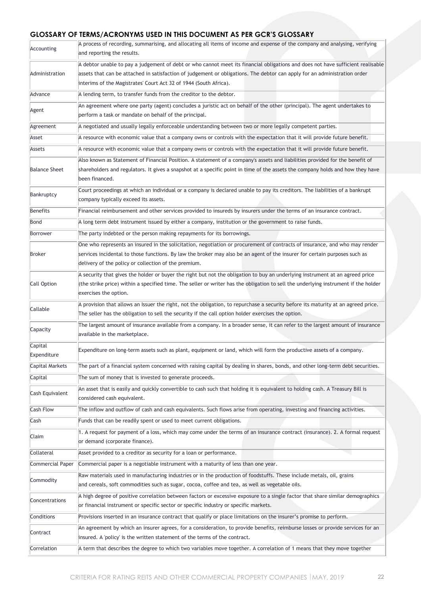### **GLOSSARY OF TERMS/ACRONYMS USED IN THIS DOCUMENT AS PER GCR'S GLOSSARY**

| Accounting             | A process of recording, summarising, and allocating all items of income and expense of the company and analysing, verifying<br>and reporting the results.                                                                                                                                                         |
|------------------------|-------------------------------------------------------------------------------------------------------------------------------------------------------------------------------------------------------------------------------------------------------------------------------------------------------------------|
|                        | A debtor unable to pay a judgement of debt or who cannot meet its financial obligations and does not have sufficient realisable                                                                                                                                                                                   |
| Administration         | assets that can be attached in satisfaction of judgement or obligations. The debtor can apply for an administration order<br>interims of the Magistrates' Court Act 32 of 1944 (South Africa).                                                                                                                    |
| Advance                | A lending term, to transfer funds from the creditor to the debtor.                                                                                                                                                                                                                                                |
| Agent                  | An agreement where one party (agent) concludes a juristic act on behalf of the other (principal). The agent undertakes to<br>perform a task or mandate on behalf of the principal.                                                                                                                                |
| Agreement              | A negotiated and usually legally enforceable understanding between two or more legally competent parties.                                                                                                                                                                                                         |
| Asset                  | A resource with economic value that a company owns or controls with the expectation that it will provide future benefit.                                                                                                                                                                                          |
| Assets                 | A resource with economic value that a company owns or controls with the expectation that it will provide future benefit.                                                                                                                                                                                          |
| <b>Balance Sheet</b>   | Also known as Statement of Financial Position. A statement of a company's assets and liabilities provided for the benefit of<br>shareholders and regulators. It gives a snapshot at a specific point in time of the assets the company holds and how they have<br>been financed.                                  |
| Bankruptcy             | Court proceedings at which an individual or a company is declared unable to pay its creditors. The liabilities of a bankrupt<br>company typically exceed its assets.                                                                                                                                              |
| Benefits               | Financial reimbursement and other services provided to insureds by insurers under the terms of an insurance contract.                                                                                                                                                                                             |
| Bond                   | A long term debt instrument issued by either a company, institution or the government to raise funds.                                                                                                                                                                                                             |
| Borrower               | The party indebted or the person making repayments for its borrowings.                                                                                                                                                                                                                                            |
| Broker                 | One who represents an insured in the solicitation, negotiation or procurement of contracts of insurance, and who may render<br>services incidental to those functions. By law the broker may also be an agent of the insurer for certain purposes such as<br>delivery of the policy or collection of the premium. |
| Call Option            | A security that gives the holder or buyer the right but not the obligation to buy an underlying instrument at an agreed price<br>(the strike price) within a specified time. The seller or writer has the obligation to sell the underlying instrument if the holder<br>exercises the option.                     |
| Callable               | A provision that allows an Issuer the right, not the obligation, to repurchase a security before its maturity at an agreed price.<br>The seller has the obligation to sell the security if the call option holder exercises the option.                                                                           |
| Capacity               | The largest amount of insurance available from a company. In a broader sense, it can refer to the largest amount of insurance<br>available in the marketplace.                                                                                                                                                    |
| Capital<br>Expenditure | Expenditure on long-term assets such as plant, equipment or land, which will form the productive assets of a company.                                                                                                                                                                                             |
| <b>Capital Markets</b> | The part of a financial system concerned with raising capital by dealing in shares, bonds, and other long-term debt securities.                                                                                                                                                                                   |
| Capital                | The sum of money that is invested to generate proceeds.                                                                                                                                                                                                                                                           |
| Cash Equivalent        | An asset that is easily and quickly convertible to cash such that holding it is equivalent to holding cash. A Treasury Bill is<br>considered cash equivalent.                                                                                                                                                     |
| <b>Cash Flow</b>       | The inflow and outflow of cash and cash equivalents. Such flows arise from operating, investing and financing activities.                                                                                                                                                                                         |
| Cash                   | Funds that can be readily spent or used to meet current obligations.                                                                                                                                                                                                                                              |
| Claim                  | 1. A request for payment of a loss, which may come under the terms of an insurance contract (insurance). 2. A formal request<br>or demand (corporate finance).                                                                                                                                                    |
| Collateral             | Asset provided to a creditor as security for a loan or performance.                                                                                                                                                                                                                                               |
| Commercial Paper       | Commercial paper is a negotiable instrument with a maturity of less than one year.                                                                                                                                                                                                                                |
| Commodity              | Raw materials used in manufacturing industries or in the production of foodstuffs. These include metals, oil, grains<br>and cereals, soft commodities such as sugar, cocoa, coffee and tea, as well as vegetable oils.                                                                                            |
| Concentrations         | A high degree of positive correlation between factors or excessive exposure to a single factor that share similar demographics<br>or financial instrument or specific sector or specific industry or specific markets.                                                                                            |
| Conditions             | Provisions inserted in an insurance contract that qualify or place limitations on the insurer's promise to perform.                                                                                                                                                                                               |
| Contract               | An agreement by which an insurer agrees, for a consideration, to provide benefits, reimburse losses or provide services for an<br>insured. A 'policy' is the written statement of the terms of the contract.                                                                                                      |
| Correlation            | A term that describes the degree to which two variables move together. A correlation of 1 means that they move together                                                                                                                                                                                           |
|                        |                                                                                                                                                                                                                                                                                                                   |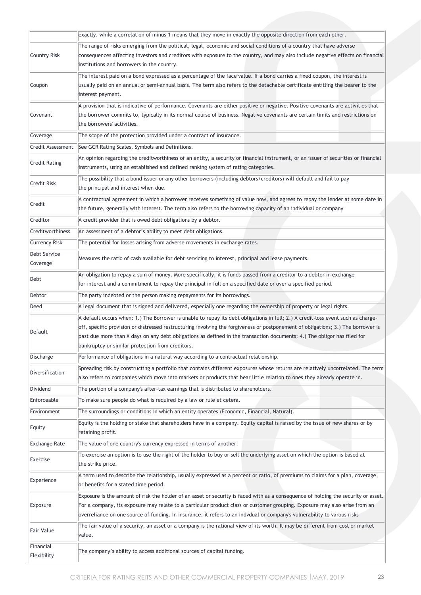|                      | exactly, while a correlation of minus 1 means that they move in exactly the opposite direction from each other.                     |  |  |
|----------------------|-------------------------------------------------------------------------------------------------------------------------------------|--|--|
|                      | The range of risks emerging from the political, legal, economic and social conditions of a country that have adverse                |  |  |
| Country Risk         | consequences affecting investors and creditors with exposure to the country, and may also include negative effects on financial     |  |  |
|                      | institutions and borrowers in the country.                                                                                          |  |  |
|                      | The interest paid on a bond expressed as a percentage of the face value. If a bond carries a fixed coupon, the interest is          |  |  |
| Coupon               | usually paid on an annual or semi-annual basis. The term also refers to the detachable certificate entitling the bearer to the      |  |  |
|                      | interest payment.                                                                                                                   |  |  |
|                      | A provision that is indicative of performance. Covenants are either positive or negative. Positive covenants are activities that    |  |  |
| Covenant             | the borrower commits to, typically in its normal course of business. Negative covenants are certain limits and restrictions on      |  |  |
|                      | the borrowers' activities.                                                                                                          |  |  |
| Coverage             | The scope of the protection provided under a contract of insurance.                                                                 |  |  |
| Credit Assessment    | See GCR Rating Scales, Symbols and Definitions.                                                                                     |  |  |
| <b>Credit Rating</b> | An opinion regarding the creditworthiness of an entity, a security or financial instrument, or an issuer of securities or financial |  |  |
|                      | instruments, using an established and defined ranking system of rating categories.                                                  |  |  |
| Credit Risk          | The possibility that a bond issuer or any other borrowers (including debtors/creditors) will default and fail to pay                |  |  |
|                      | the principal and interest when due.                                                                                                |  |  |
| Credit               | A contractual agreement in which a borrower receives something of value now, and agrees to repay the lender at some date in         |  |  |
|                      | the future, generally with interest. The term also refers to the borrowing capacity of an individual or company                     |  |  |
| Creditor             | A credit provider that is owed debt obligations by a debtor.                                                                        |  |  |
| Creditworthiness     | An assessment of a debtor's ability to meet debt obligations.                                                                       |  |  |
| <b>Currency Risk</b> | The potential for losses arising from adverse movements in exchange rates.                                                          |  |  |
| Debt Service         | Measures the ratio of cash available for debt servicing to interest, principal and lease payments.                                  |  |  |
| Coverage             |                                                                                                                                     |  |  |
| Debt                 | An obligation to repay a sum of money. More specifically, it is funds passed from a creditor to a debtor in exchange                |  |  |
|                      | for interest and a commitment to repay the principal in full on a specified date or over a specified period.                        |  |  |
| Debtor               | The party indebted or the person making repayments for its borrowings.                                                              |  |  |
| Deed                 | A legal document that is signed and delivered, especially one regarding the ownership of property or legal rights.                  |  |  |
|                      | A default occurs when: 1.) The Borrower is unable to repay its debt obligations in full; 2.) A credit-loss event such as charge-    |  |  |
| Default              | off, specific provision or distressed restructuring involving the forgiveness or postponement of obligations; 3.) The borrower is   |  |  |
|                      | past due more than X days on any debt obligations as defined in the transaction documents; 4.) The obligor has filed for            |  |  |
|                      | bankruptcy or similar protection from creditors.                                                                                    |  |  |
| Discharge            | Performance of obligations in a natural way according to a contractual relationship.                                                |  |  |
| Diversification      | Spreading risk by constructing a portfolio that contains different exposures whose returns are relatively uncorrelated. The term    |  |  |
|                      | also refers to companies which move into markets or products that bear little relation to ones they already operate in.             |  |  |
| Dividend             | The portion of a company's after-tax earnings that is distributed to shareholders.                                                  |  |  |
| Enforceable          | To make sure people do what is required by a law or rule et cetera.                                                                 |  |  |
| Environment          | The surroundings or conditions in which an entity operates (Economic, Financial, Natural).                                          |  |  |
| Equity               | Equity is the holding or stake that shareholders have in a company. Equity capital is raised by the issue of new shares or by       |  |  |
|                      | retaining profit.                                                                                                                   |  |  |
| <b>Exchange Rate</b> | The value of one country's currency expressed in terms of another.                                                                  |  |  |
| Exercise             | To exercise an option is to use the right of the holder to buy or sell the underlying asset on which the option is based at         |  |  |
|                      | the strike price.                                                                                                                   |  |  |
| Experience           | A term used to describe the relationship, usually expressed as a percent or ratio, of premiums to claims for a plan, coverage,      |  |  |
|                      | or benefits for a stated time period.                                                                                               |  |  |
|                      | Exposure is the amount of risk the holder of an asset or security is faced with as a consequence of holding the security or asset.  |  |  |
| Exposure             | For a company, its exposure may relate to a particular product class or customer grouping. Exposure may also arise from an          |  |  |
|                      | overreliance on one source of funding. In insurance, it refers to an indvdual or company's vulnerability to varous risks            |  |  |
| Fair Value           | The fair value of a security, an asset or a company is the rational view of its worth. It may be different from cost or market      |  |  |
|                      | value.                                                                                                                              |  |  |
| Financial            | The company's ability to access additional sources of capital funding.                                                              |  |  |
| Flexibility          |                                                                                                                                     |  |  |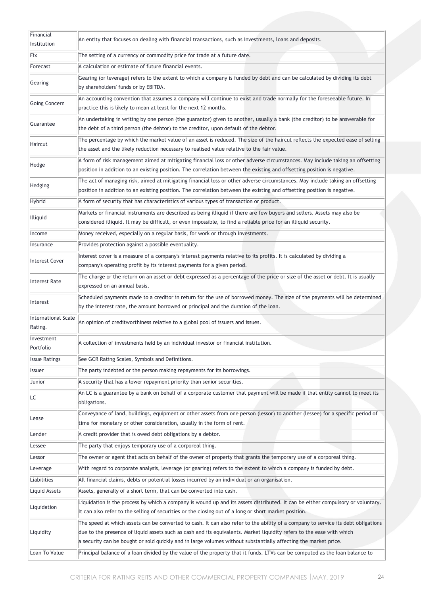| Financial<br>Institution       | An entity that focuses on dealing with financial transactions, such as investments, loans and deposits.                                                                                                                                                                                                                                                                       |
|--------------------------------|-------------------------------------------------------------------------------------------------------------------------------------------------------------------------------------------------------------------------------------------------------------------------------------------------------------------------------------------------------------------------------|
| Fix                            | The setting of a currency or commodity price for trade at a future date.                                                                                                                                                                                                                                                                                                      |
| Forecast                       | A calculation or estimate of future financial events.                                                                                                                                                                                                                                                                                                                         |
|                                | Gearing (or leverage) refers to the extent to which a company is funded by debt and can be calculated by dividing its debt                                                                                                                                                                                                                                                    |
| Gearing                        | by shareholders' funds or by EBITDA.                                                                                                                                                                                                                                                                                                                                          |
| Going Concern                  | An accounting convention that assumes a company will continue to exist and trade normally for the foreseeable future. In<br>practice this is likely to mean at least for the next 12 months.                                                                                                                                                                                  |
| Guarantee                      | An undertaking in writing by one person (the guarantor) given to another, usually a bank (the creditor) to be answerable for<br>the debt of a third person (the debtor) to the creditor, upon default of the debtor.                                                                                                                                                          |
| Haircut                        | The percentage by which the market value of an asset is reduced. The size of the haircut reflects the expected ease of selling<br>the asset and the likely reduction necessary to realised value relative to the fair value.                                                                                                                                                  |
| Hedge                          | A form of risk management aimed at mitigating financial loss or other adverse circumstances. May include taking an offsetting<br>position in addition to an existing position. The correlation between the existing and offsetting position is negative.                                                                                                                      |
| Hedging                        | The act of managing risk, aimed at mitigating financial loss or other adverse circumstances. May include taking an offsetting<br>position in addition to an existing position. The correlation between the existing and offsetting position is negative.                                                                                                                      |
| Hybrid                         | A form of security that has characteristics of various types of transaction or product.                                                                                                                                                                                                                                                                                       |
| Illiquid                       | Markets or financial instruments are described as being illiquid if there are few buyers and sellers. Assets may also be<br>considered illiquid. It may be difficult, or even impossible, to find a reliable price for an illiquid security.                                                                                                                                  |
| Income                         | Money received, especially on a regular basis, for work or through investments.                                                                                                                                                                                                                                                                                               |
| Insurance                      | Provides protection against a possible eventuality.                                                                                                                                                                                                                                                                                                                           |
| Interest Cover                 | Interest cover is a measure of a company's interest payments relative to its profits. It is calculated by dividing a<br>company's operating profit by its interest payments for a given period.                                                                                                                                                                               |
| Interest Rate                  | The charge or the return on an asset or debt expressed as a percentage of the price or size of the asset or debt. It is usually<br>expressed on an annual basis.                                                                                                                                                                                                              |
| Interest                       | Scheduled payments made to a creditor in return for the use of borrowed money. The size of the payments will be determined<br>by the interest rate, the amount borrowed or principal and the duration of the loan.                                                                                                                                                            |
| International Scale<br>Rating. | An opinion of creditworthiness relative to a global pool of issuers and issues.                                                                                                                                                                                                                                                                                               |
| Investment<br>Portfolio        | A collection of investments held by an individual investor or financial institution.                                                                                                                                                                                                                                                                                          |
| <b>Issue Ratings</b>           | See GCR Rating Scales, Symbols and Definitions.                                                                                                                                                                                                                                                                                                                               |
| Issuer                         | The party indebted or the person making repayments for its borrowings.                                                                                                                                                                                                                                                                                                        |
| Junior                         | A security that has a lower repayment priority than senior securities.                                                                                                                                                                                                                                                                                                        |
| LC                             | An LC is a guarantee by a bank on behalf of a corporate customer that payment will be made if that entity cannot to meet its<br>obligations.                                                                                                                                                                                                                                  |
| Lease                          | Conveyance of land, buildings, equipment or other assets from one person (lessor) to another (lessee) for a specific period of<br>time for monetary or other consideration, usually in the form of rent.                                                                                                                                                                      |
| Lender                         | A credit provider that is owed debt obligations by a debtor.                                                                                                                                                                                                                                                                                                                  |
| Lessee                         | The party that enjoys temporary use of a corporeal thing.                                                                                                                                                                                                                                                                                                                     |
| Lessor                         | The owner or agent that acts on behalf of the owner of property that grants the temporary use of a corporeal thing.                                                                                                                                                                                                                                                           |
| Leverage                       | With regard to corporate analysis, leverage (or gearing) refers to the extent to which a company is funded by debt.                                                                                                                                                                                                                                                           |
| Liabilities                    | All financial claims, debts or potential losses incurred by an individual or an organisation.                                                                                                                                                                                                                                                                                 |
| Liquid Assets                  | Assets, generally of a short term, that can be converted into cash.                                                                                                                                                                                                                                                                                                           |
|                                | Liquidation is the process by which a company is wound up and its assets distributed. It can be either compulsory or voluntary.                                                                                                                                                                                                                                               |
| Liquidation                    | It can also refer to the selling of securities or the closing out of a long or short market position.                                                                                                                                                                                                                                                                         |
| Liquidity                      | The speed at which assets can be converted to cash. It can also refer to the ability of a company to service its debt obligations<br>due to the presence of liquid assets such as cash and its equivalents. Market liquidity refers to the ease with which<br>a security can be bought or sold quickly and in large volumes without substantially affecting the market price. |
| Loan To Value                  | Principal balance of a loan divided by the value of the property that it funds. LTVs can be computed as the loan balance to                                                                                                                                                                                                                                                   |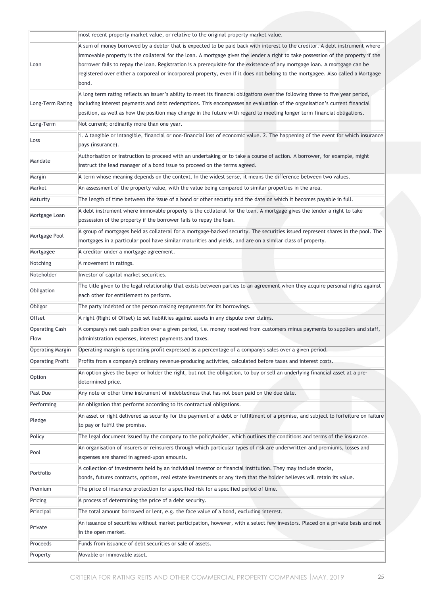|                         | most recent property market value, or relative to the original property market value.                                                                                                                  |
|-------------------------|--------------------------------------------------------------------------------------------------------------------------------------------------------------------------------------------------------|
|                         | A sum of money borrowed by a debtor that is expected to be paid back with interest to the creditor. A debt instrument where                                                                            |
|                         | immovable property is the collateral for the loan. A mortgage gives the lender a right to take possession of the property if the                                                                       |
| Loan                    | borrower fails to repay the loan. Registration is a prerequisite for the existence of any mortgage loan. A mortgage can be                                                                             |
|                         | registered over either a corporeal or incorporeal property, even if it does not belong to the mortgagee. Also called a Mortgage                                                                        |
|                         | bond.                                                                                                                                                                                                  |
|                         | A long term rating reflects an issuer's ability to meet its financial obligations over the following three to five year period,                                                                        |
| Long-Term Rating        | including interest payments and debt redemptions. This encompasses an evaluation of the organisation's current financial                                                                               |
|                         | position, as well as how the position may change in the future with regard to meeting longer term financial obligations.                                                                               |
| Long-Term               | Not current; ordinarily more than one year.                                                                                                                                                            |
| Loss                    | 1. A tangible or intangible, financial or non-financial loss of economic value. 2. The happening of the event for which insurance                                                                      |
|                         | pays (insurance).                                                                                                                                                                                      |
| Mandate                 | Authorisation or instruction to proceed with an undertaking or to take a course of action. A borrower, for example, might<br>instruct the lead manager of a bond issue to proceed on the terms agreed. |
|                         |                                                                                                                                                                                                        |
| Margin                  | A term whose meaning depends on the context. In the widest sense, it means the difference between two values.                                                                                          |
| Market                  | An assessment of the property value, with the value being compared to similar properties in the area.                                                                                                  |
| Maturity                | The length of time between the issue of a bond or other security and the date on which it becomes payable in full.                                                                                     |
| Mortgage Loan           | A debt instrument where immovable property is the collateral for the loan. A mortgage gives the lender a right to take                                                                                 |
|                         | possession of the property if the borrower fails to repay the loan.                                                                                                                                    |
| Mortgage Pool           | A group of mortgages held as collateral for a mortgage-backed security. The securities issued represent shares in the pool. The                                                                        |
|                         | mortgages in a particular pool have similar maturities and yields, and are on a similar class of property.                                                                                             |
| Mortgagee               | A creditor under a mortgage agreement.                                                                                                                                                                 |
| Notching                | A movement in ratings.                                                                                                                                                                                 |
| Noteholder              | Investor of capital market securities.                                                                                                                                                                 |
| Obligation              | The title given to the legal relationship that exists between parties to an agreement when they acquire personal rights against<br>each other for entitlement to perform.                              |
| Obligor                 | The party indebted or the person making repayments for its borrowings.                                                                                                                                 |
| Offset                  | A right (Right of Offset) to set liabilities against assets in any dispute over claims.                                                                                                                |
| <b>Operating Cash</b>   | A company's net cash position over a given period, i.e. money received from customers minus payments to suppliers and staff,                                                                           |
| Flow                    | administration expenses, interest payments and taxes.                                                                                                                                                  |
| <b>Operating Margin</b> | Operating margin is operating profit expressed as a percentage of a company's sales over a given period.                                                                                               |
| <b>Operating Profit</b> | Profits from a company's ordinary revenue-producing activities, calculated before taxes and interest costs.                                                                                            |
|                         | An option gives the buyer or holder the right, but not the obligation, to buy or sell an underlying financial asset at a pre-                                                                          |
| Option                  | determined price.                                                                                                                                                                                      |
| Past Due                | Any note or other time instrument of indebtedness that has not been paid on the due date.                                                                                                              |
| Performing              | An obligation that performs according to its contractual obligations.                                                                                                                                  |
| Pledge                  | An asset or right delivered as security for the payment of a debt or fulfillment of a promise, and subject to forfeiture on failure<br>to pay or fulfill the promise.                                  |
| Policy                  | The legal document issued by the company to the policyholder, which outlines the conditions and terms of the insurance.                                                                                |
|                         | An organisation of insurers or reinsurers through which particular types of risk are underwritten and premiums, losses and                                                                             |
| Pool                    | expenses are shared in agreed-upon amounts.                                                                                                                                                            |
| Portfolio               | A collection of investments held by an individual investor or financial institution. They may include stocks,                                                                                          |
|                         | bonds, futures contracts, options, real estate investments or any item that the holder believes will retain its value.                                                                                 |
| Premium                 | The price of insurance protection for a specified risk for a specified period of time.                                                                                                                 |
| Pricing                 | A process of determining the price of a debt security.                                                                                                                                                 |
| Principal               | The total amount borrowed or lent, e.g. the face value of a bond, excluding interest.                                                                                                                  |
|                         | An issuance of securities without market participation, however, with a select few investors. Placed on a private basis and not                                                                        |
| Private                 | in the open market.                                                                                                                                                                                    |
| Proceeds                | Funds from issuance of debt securities or sale of assets.                                                                                                                                              |
| Property                | Movable or immovable asset.                                                                                                                                                                            |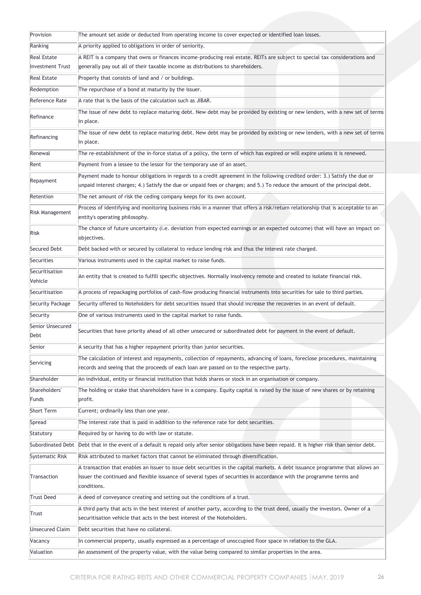| Provision                 | The amount set aside or deducted from operating income to cover expected or identified loan losses.                                                                                                                                                        |
|---------------------------|------------------------------------------------------------------------------------------------------------------------------------------------------------------------------------------------------------------------------------------------------------|
| Ranking                   | A priority applied to obligations in order of seniority.                                                                                                                                                                                                   |
| <b>Real Estate</b>        | A REIT is a company that owns or finances income-producing real estate. REITs are subject to special tax considerations and                                                                                                                                |
| <b>Investment Trust</b>   | generally pay out all of their taxable income as distributions to shareholders.                                                                                                                                                                            |
| <b>Real Estate</b>        | Property that consists of land and / or buildings.                                                                                                                                                                                                         |
| Redemption                | The repurchase of a bond at maturity by the issuer.                                                                                                                                                                                                        |
| Reference Rate            | A rate that is the basis of the calculation such as JIBAR.                                                                                                                                                                                                 |
| Refinance                 | The issue of new debt to replace maturing debt. New debt may be provided by existing or new lenders, with a new set of terms                                                                                                                               |
|                           | in place.                                                                                                                                                                                                                                                  |
| Refinancing               | The issue of new debt to replace maturing debt. New debt may be provided by existing or new lenders, with a new set of terms<br>in place.                                                                                                                  |
| Renewal                   | The re-establishment of the in-force status of a policy, the term of which has expired or will expire unless it is renewed.                                                                                                                                |
| Rent                      | Payment from a lessee to the lessor for the temporary use of an asset.                                                                                                                                                                                     |
| Repayment                 | Payment made to honour obligations in regards to a credit agreement in the following credited order: 3.) Satisfy the due or<br>unpaid interest charges; 4.) Satisfy the due or unpaid fees or charges; and 5.) To reduce the amount of the principal debt. |
| Retention                 | The net amount of risk the ceding company keeps for its own account.                                                                                                                                                                                       |
| <b>Risk Management</b>    | Process of identifying and monitoring business risks in a manner that offers a risk/return relationship that is acceptable to an<br>entity's operating philosophy.                                                                                         |
| Risk                      | The chance of future uncertainty (i.e. deviation from expected earnings or an expected outcome) that will have an impact on<br>objectives.                                                                                                                 |
| Secured Debt              | Debt backed with or secured by collateral to reduce lending risk and thus the interest rate charged.                                                                                                                                                       |
| Securities                | Various instruments used in the capital market to raise funds.                                                                                                                                                                                             |
| Securitisation<br>Vehicle | An entity that is created to fulfill specific objectives. Normally insolvency remote and created to isolate financial risk.                                                                                                                                |
| Securitisation            | A process of repackaging portfolios of cash-flow producing financial instruments into securities for sale to third parties.                                                                                                                                |
| <b>Security Package</b>   | Security offered to Noteholders for debt securities issued that should increase the recoveries in an event of default.                                                                                                                                     |
| Security                  | One of various instruments used in the capital market to raise funds.                                                                                                                                                                                      |
| Senior Unsecured<br>Debt  | Securities that have priority ahead of all other unsecured or subordinated debt for payment in the event of default.                                                                                                                                       |
| Senior                    | A security that has a higher repayment priority than junior securities.                                                                                                                                                                                    |
| Servicing                 | The calculation of interest and repayments, collection of repayments, advancing of loans, foreclose procedures, maintaining<br>records and seeing that the proceeds of each loan are passed on to the respective party.                                    |
| Shareholder               | An individual, entity or financial institution that holds shares or stock in an organisation or company.                                                                                                                                                   |
| Shareholders'<br>Funds    | The holding or stake that shareholders have in a company. Equity capital is raised by the issue of new shares or by retaining<br>profit.                                                                                                                   |
| Short Term                | Current; ordinarily less than one year.                                                                                                                                                                                                                    |
| Spread                    | The interest rate that is paid in addition to the reference rate for debt securities.                                                                                                                                                                      |
| Statutory                 | Required by or having to do with law or statute.                                                                                                                                                                                                           |
| Subordinated Debt         | Debt that in the event of a default is repaid only after senior obligations have been repaid. It is higher risk than senior debt.                                                                                                                          |
| Systematic Risk           | Risk attributed to market factors that cannot be eliminated through diversification.                                                                                                                                                                       |
|                           | A transaction that enables an Issuer to issue debt securities in the capital markets. A debt issuance programme that allows an                                                                                                                             |
| Transaction               | Issuer the continued and flexible issuance of several types of securities in accordance with the programme terms and<br>conditions.                                                                                                                        |
| <b>Trust Deed</b>         | A deed of conveyance creating and setting out the conditions of a trust.                                                                                                                                                                                   |
| Trust                     | A third party that acts in the best interest of another party, according to the trust deed, usually the investors. Owner of a<br>securitisation vehicle that acts in the best interest of the Noteholders.                                                 |
| <b>Unsecured Claim</b>    | Debt securities that have no collateral.                                                                                                                                                                                                                   |
| Vacancy                   | In commercial property, usually expressed as a percentage of unoccupied floor space in relation to the GLA.                                                                                                                                                |
| Valuation                 | An assessment of the property value, with the value being compared to similar properties in the area.                                                                                                                                                      |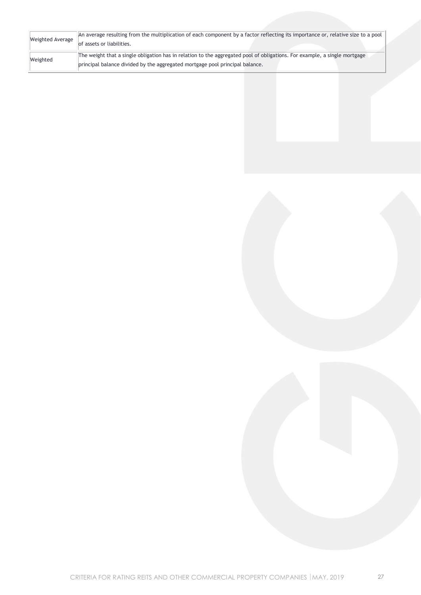| Weighted Average | An average resulting from the multiplication of each component by a factor reflecting its importance or, relative size to a pool |
|------------------|----------------------------------------------------------------------------------------------------------------------------------|
|                  | of assets or liabilities.                                                                                                        |
| Weighted         | The weight that a single obligation has in relation to the aggregated pool of obligations. For example, a single mortgage        |
|                  | principal balance divided by the aggregated mortgage pool principal balance.                                                     |